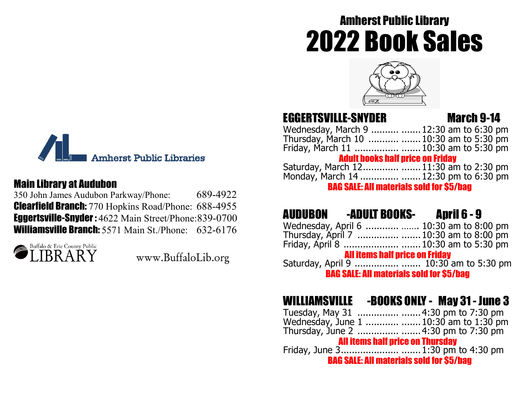# Amherst Public Library 2022 Book Sales



## EGGERTSVILLE-SNYDER March 9-14

Wednesday, March 9 .......... .......12:30 am to 6:30 pm Thursday, March 10 ........... .......10:30 am to 5:30 pm Friday, March 11 ................ .......10:30 am to 5:30 pm Adult books half price on Friday Saturday, March 12............. .......11:30 am to 2:30 pm Monday, March 14 .............. .......12:30 pm to 6:30 pm

BAG SALE: All materials sold for \$5/bag

## AUDUBON -ADULT BOOKS- April 6 - 9

| Wednesday, April 6   10:30 am to 8:00 pm        |  |  |  |
|-------------------------------------------------|--|--|--|
| Thursday, April 7   10:30 am to 8:00 pm         |  |  |  |
|                                                 |  |  |  |
| <b>All items half price on Friday</b>           |  |  |  |
|                                                 |  |  |  |
| <b>BAG SALE: All materials sold for \$5/bag</b> |  |  |  |

## WILLIAMSVILLE -BOOKS ONLY - May 31 - June 3

| Wednesday, June 1   10:30 am to 1:30 pm         |  |  |  |
|-------------------------------------------------|--|--|--|
|                                                 |  |  |  |
| <b>All items half price on Thursday</b>         |  |  |  |
|                                                 |  |  |  |
| <b>BAG SALE: All materials sold for \$5/hag</b> |  |  |  |



#### Main Library at Audubon

350 John James Audubon Parkway/Phone: 689-4922 **Clearfield Branch:** 770 Hopkins Road/Phone: 688-4955 Eggertsville-Snyder : 4622 Main Street/Phone:839-0700 Williamsville Branch: 5571 Main St./Phone: 632-6176



www.BuffaloLib.org